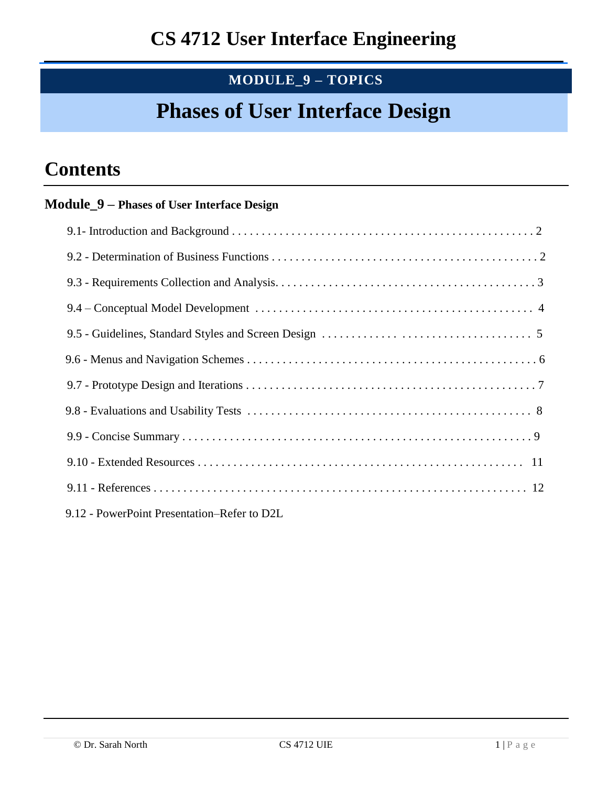# **MODULE\_9 – TOPICS**

# **Phases of User Interface Design**

# **Contents**

## **Module\_9 – Phases of User Interface Design**

| 9.12 - PowerPoint Presentation–Refer to D2L |  |
|---------------------------------------------|--|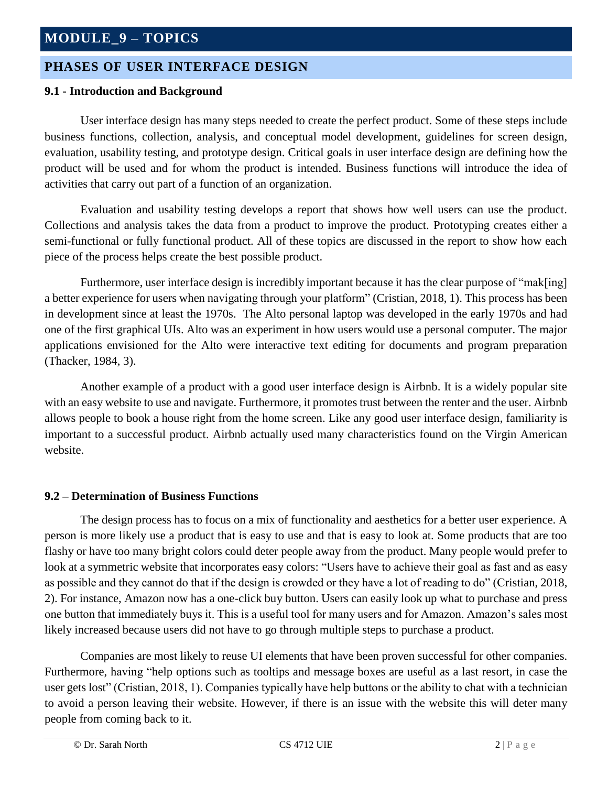### **PHASES OF USER INTERFACE DESIGN**

#### **9.1 - Introduction and Background**

User interface design has many steps needed to create the perfect product. Some of these steps include business functions, collection, analysis, and conceptual model development, guidelines for screen design, evaluation, usability testing, and prototype design. Critical goals in user interface design are defining how the product will be used and for whom the product is intended. Business functions will introduce the idea of activities that carry out part of a function of an organization.

Evaluation and usability testing develops a report that shows how well users can use the product. Collections and analysis takes the data from a product to improve the product. Prototyping creates either a semi-functional or fully functional product. All of these topics are discussed in the report to show how each piece of the process helps create the best possible product.

Furthermore, user interface design is incredibly important because it has the clear purpose of "mak[ing] a better experience for users when navigating through your platform" (Cristian, 2018, 1). This process has been in development since at least the 1970s. The Alto personal laptop was developed in the early 1970s and had one of the first graphical UIs. Alto was an experiment in how users would use a personal computer. The major applications envisioned for the Alto were interactive text editing for documents and program preparation (Thacker, 1984, 3).

Another example of a product with a good user interface design is Airbnb. It is a widely popular site with an easy website to use and navigate. Furthermore, it promotes trust between the renter and the user. Airbnb allows people to book a house right from the home screen. Like any good user interface design, familiarity is important to a successful product. Airbnb actually used many characteristics found on the Virgin American website.

#### **9.2 – Determination of Business Functions**

The design process has to focus on a mix of functionality and aesthetics for a better user experience. A person is more likely use a product that is easy to use and that is easy to look at. Some products that are too flashy or have too many bright colors could deter people away from the product. Many people would prefer to look at a symmetric website that incorporates easy colors: "Users have to achieve their goal as fast and as easy as possible and they cannot do that if the design is crowded or they have a lot of reading to do" (Cristian, 2018, 2). For instance, Amazon now has a one-click buy button. Users can easily look up what to purchase and press one button that immediately buys it. This is a useful tool for many users and for Amazon. Amazon's sales most likely increased because users did not have to go through multiple steps to purchase a product.

Companies are most likely to reuse UI elements that have been proven successful for other companies. Furthermore, having "help options such as tooltips and message boxes are useful as a last resort, in case the user gets lost" (Cristian, 2018, 1). Companies typically have help buttons or the ability to chat with a technician to avoid a person leaving their website. However, if there is an issue with the website this will deter many people from coming back to it.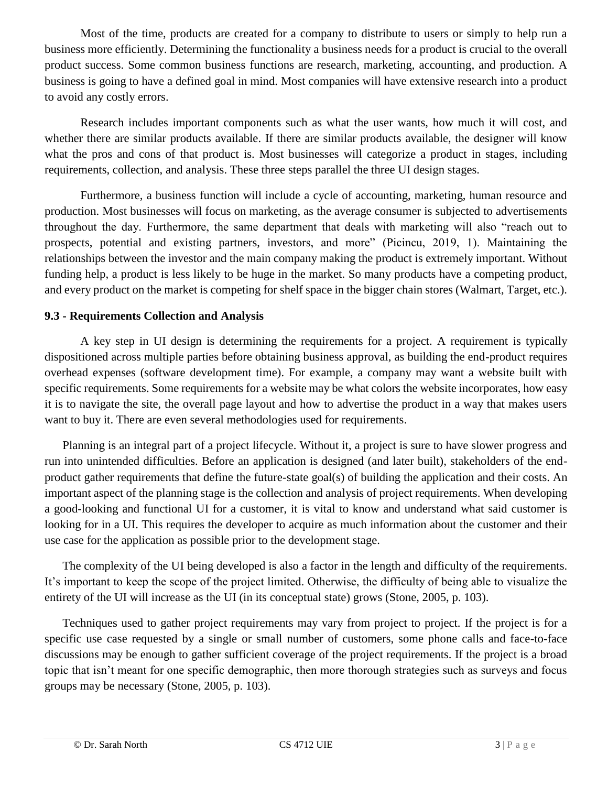Most of the time, products are created for a company to distribute to users or simply to help run a business more efficiently. Determining the functionality a business needs for a product is crucial to the overall product success. Some common business functions are research, marketing, accounting, and production. A business is going to have a defined goal in mind. Most companies will have extensive research into a product to avoid any costly errors.

Research includes important components such as what the user wants, how much it will cost, and whether there are similar products available. If there are similar products available, the designer will know what the pros and cons of that product is. Most businesses will categorize a product in stages, including requirements, collection, and analysis. These three steps parallel the three UI design stages.

Furthermore, a business function will include a cycle of accounting, marketing, human resource and production. Most businesses will focus on marketing, as the average consumer is subjected to advertisements throughout the day. Furthermore, the same department that deals with marketing will also "reach out to prospects, potential and existing partners, investors, and more" (Picincu, 2019, 1). Maintaining the relationships between the investor and the main company making the product is extremely important. Without funding help, a product is less likely to be huge in the market. So many products have a competing product, and every product on the market is competing for shelf space in the bigger chain stores (Walmart, Target, etc.).

#### **9.3 - Requirements Collection and Analysis**

A key step in UI design is determining the requirements for a project. A requirement is typically dispositioned across multiple parties before obtaining business approval, as building the end-product requires overhead expenses (software development time). For example, a company may want a website built with specific requirements. Some requirements for a website may be what colors the website incorporates, how easy it is to navigate the site, the overall page layout and how to advertise the product in a way that makes users want to buy it. There are even several methodologies used for requirements.

Planning is an integral part of a project lifecycle. Without it, a project is sure to have slower progress and run into unintended difficulties. Before an application is designed (and later built), stakeholders of the endproduct gather requirements that define the future-state goal(s) of building the application and their costs. An important aspect of the planning stage is the collection and analysis of project requirements. When developing a good-looking and functional UI for a customer, it is vital to know and understand what said customer is looking for in a UI. This requires the developer to acquire as much information about the customer and their use case for the application as possible prior to the development stage.

The complexity of the UI being developed is also a factor in the length and difficulty of the requirements. It's important to keep the scope of the project limited. Otherwise, the difficulty of being able to visualize the entirety of the UI will increase as the UI (in its conceptual state) grows (Stone, 2005, p. 103).

Techniques used to gather project requirements may vary from project to project. If the project is for a specific use case requested by a single or small number of customers, some phone calls and face-to-face discussions may be enough to gather sufficient coverage of the project requirements. If the project is a broad topic that isn't meant for one specific demographic, then more thorough strategies such as surveys and focus groups may be necessary (Stone, 2005, p. 103).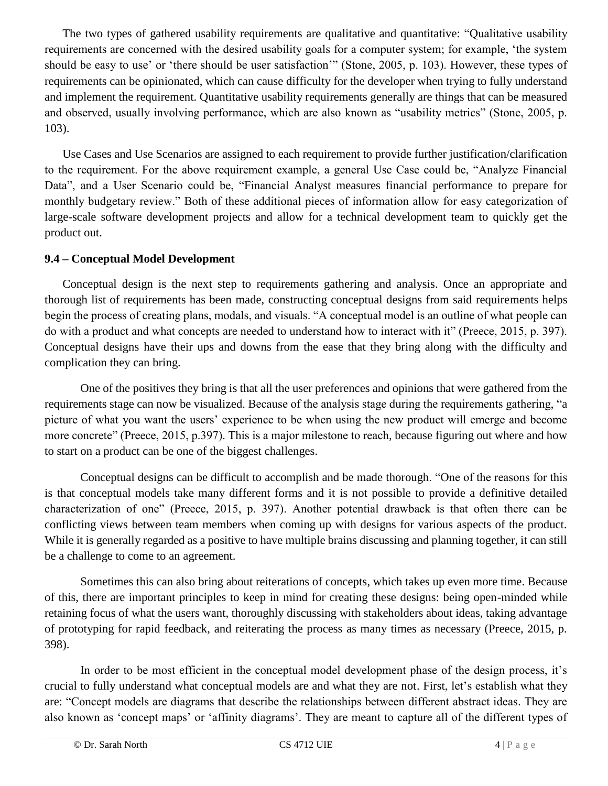The two types of gathered usability requirements are qualitative and quantitative: "Qualitative usability requirements are concerned with the desired usability goals for a computer system; for example, 'the system should be easy to use' or 'there should be user satisfaction'" (Stone, 2005, p. 103). However, these types of requirements can be opinionated, which can cause difficulty for the developer when trying to fully understand and implement the requirement. Quantitative usability requirements generally are things that can be measured and observed, usually involving performance, which are also known as "usability metrics" (Stone, 2005, p. 103).

Use Cases and Use Scenarios are assigned to each requirement to provide further justification/clarification to the requirement. For the above requirement example, a general Use Case could be, "Analyze Financial Data", and a User Scenario could be, "Financial Analyst measures financial performance to prepare for monthly budgetary review." Both of these additional pieces of information allow for easy categorization of large-scale software development projects and allow for a technical development team to quickly get the product out.

#### **9.4 – Conceptual Model Development**

Conceptual design is the next step to requirements gathering and analysis. Once an appropriate and thorough list of requirements has been made, constructing conceptual designs from said requirements helps begin the process of creating plans, modals, and visuals. "A conceptual model is an outline of what people can do with a product and what concepts are needed to understand how to interact with it" (Preece, 2015, p. 397). Conceptual designs have their ups and downs from the ease that they bring along with the difficulty and complication they can bring.

One of the positives they bring is that all the user preferences and opinions that were gathered from the requirements stage can now be visualized. Because of the analysis stage during the requirements gathering, "a picture of what you want the users' experience to be when using the new product will emerge and become more concrete" (Preece, 2015, p.397). This is a major milestone to reach, because figuring out where and how to start on a product can be one of the biggest challenges.

Conceptual designs can be difficult to accomplish and be made thorough. "One of the reasons for this is that conceptual models take many different forms and it is not possible to provide a definitive detailed characterization of one" (Preece, 2015, p. 397). Another potential drawback is that often there can be conflicting views between team members when coming up with designs for various aspects of the product. While it is generally regarded as a positive to have multiple brains discussing and planning together, it can still be a challenge to come to an agreement.

Sometimes this can also bring about reiterations of concepts, which takes up even more time. Because of this, there are important principles to keep in mind for creating these designs: being open-minded while retaining focus of what the users want, thoroughly discussing with stakeholders about ideas, taking advantage of prototyping for rapid feedback, and reiterating the process as many times as necessary (Preece, 2015, p. 398).

In order to be most efficient in the conceptual model development phase of the design process, it's crucial to fully understand what conceptual models are and what they are not. First, let's establish what they are: "Concept models are diagrams that describe the relationships between different abstract ideas. They are also known as 'concept maps' or 'affinity diagrams'. They are meant to capture all of the different types of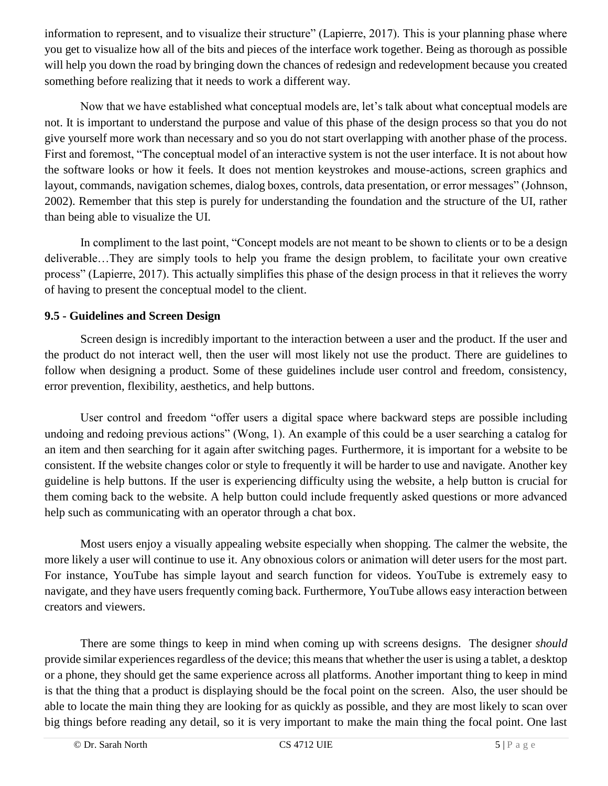information to represent, and to visualize their structure" (Lapierre, 2017). This is your planning phase where you get to visualize how all of the bits and pieces of the interface work together. Being as thorough as possible will help you down the road by bringing down the chances of redesign and redevelopment because you created something before realizing that it needs to work a different way.

Now that we have established what conceptual models are, let's talk about what conceptual models are not. It is important to understand the purpose and value of this phase of the design process so that you do not give yourself more work than necessary and so you do not start overlapping with another phase of the process. First and foremost, "The conceptual model of an interactive system is not the user interface. It is not about how the software looks or how it feels. It does not mention keystrokes and mouse-actions, screen graphics and layout, commands, navigation schemes, dialog boxes, controls, data presentation, or error messages" (Johnson, 2002). Remember that this step is purely for understanding the foundation and the structure of the UI, rather than being able to visualize the UI.

In compliment to the last point, "Concept models are not meant to be shown to clients or to be a design deliverable…They are simply tools to help you frame the design problem, to facilitate your own creative process" (Lapierre, 2017). This actually simplifies this phase of the design process in that it relieves the worry of having to present the conceptual model to the client.

### **9.5 - Guidelines and Screen Design**

Screen design is incredibly important to the interaction between a user and the product. If the user and the product do not interact well, then the user will most likely not use the product. There are guidelines to follow when designing a product. Some of these guidelines include user control and freedom, consistency, error prevention, flexibility, aesthetics, and help buttons.

User control and freedom "offer users a digital space where backward steps are possible including undoing and redoing previous actions" (Wong, 1). An example of this could be a user searching a catalog for an item and then searching for it again after switching pages. Furthermore, it is important for a website to be consistent. If the website changes color or style to frequently it will be harder to use and navigate. Another key guideline is help buttons. If the user is experiencing difficulty using the website, a help button is crucial for them coming back to the website. A help button could include frequently asked questions or more advanced help such as communicating with an operator through a chat box.

Most users enjoy a visually appealing website especially when shopping. The calmer the website, the more likely a user will continue to use it. Any obnoxious colors or animation will deter users for the most part. For instance, YouTube has simple layout and search function for videos. YouTube is extremely easy to navigate, and they have users frequently coming back. Furthermore, YouTube allows easy interaction between creators and viewers.

There are some things to keep in mind when coming up with screens designs. The designer *should* provide similar experiences regardless of the device; this means that whether the user is using a tablet, a desktop or a phone, they should get the same experience across all platforms. Another important thing to keep in mind is that the thing that a product is displaying should be the focal point on the screen. Also, the user should be able to locate the main thing they are looking for as quickly as possible, and they are most likely to scan over big things before reading any detail, so it is very important to make the main thing the focal point. One last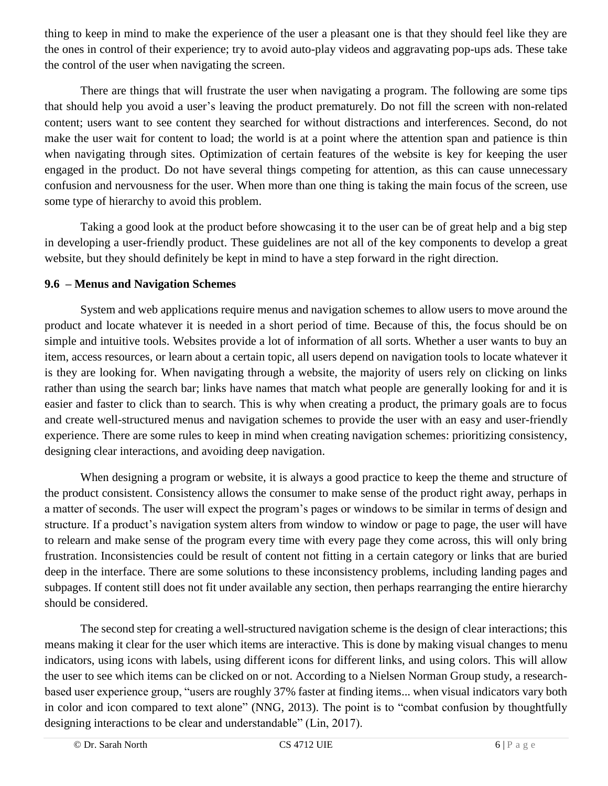thing to keep in mind to make the experience of the user a pleasant one is that they should feel like they are the ones in control of their experience; try to avoid auto-play videos and aggravating pop-ups ads. These take the control of the user when navigating the screen.

There are things that will frustrate the user when navigating a program. The following are some tips that should help you avoid a user's leaving the product prematurely. Do not fill the screen with non-related content; users want to see content they searched for without distractions and interferences. Second, do not make the user wait for content to load; the world is at a point where the attention span and patience is thin when navigating through sites. Optimization of certain features of the website is key for keeping the user engaged in the product. Do not have several things competing for attention, as this can cause unnecessary confusion and nervousness for the user. When more than one thing is taking the main focus of the screen, use some type of hierarchy to avoid this problem.

Taking a good look at the product before showcasing it to the user can be of great help and a big step in developing a user-friendly product. These guidelines are not all of the key components to develop a great website, but they should definitely be kept in mind to have a step forward in the right direction.

#### **9.6 – Menus and Navigation Schemes**

System and web applications require menus and navigation schemes to allow users to move around the product and locate whatever it is needed in a short period of time. Because of this, the focus should be on simple and intuitive tools. Websites provide a lot of information of all sorts. Whether a user wants to buy an item, access resources, or learn about a certain topic, all users depend on navigation tools to locate whatever it is they are looking for. When navigating through a website, the majority of users rely on clicking on links rather than using the search bar; links have names that match what people are generally looking for and it is easier and faster to click than to search. This is why when creating a product, the primary goals are to focus and create well-structured menus and navigation schemes to provide the user with an easy and user-friendly experience. There are some rules to keep in mind when creating navigation schemes: prioritizing consistency, designing clear interactions, and avoiding deep navigation.

When designing a program or website, it is always a good practice to keep the theme and structure of the product consistent. Consistency allows the consumer to make sense of the product right away, perhaps in a matter of seconds. The user will expect the program's pages or windows to be similar in terms of design and structure. If a product's navigation system alters from window to window or page to page, the user will have to relearn and make sense of the program every time with every page they come across, this will only bring frustration. Inconsistencies could be result of content not fitting in a certain category or links that are buried deep in the interface. There are some solutions to these inconsistency problems, including landing pages and subpages. If content still does not fit under available any section, then perhaps rearranging the entire hierarchy should be considered.

The second step for creating a well-structured navigation scheme is the design of clear interactions; this means making it clear for the user which items are interactive. This is done by making visual changes to menu indicators, using icons with labels, using different icons for different links, and using colors. This will allow the user to see which items can be clicked on or not. According to a Nielsen Norman Group study, a researchbased user experience group, "users are roughly 37% faster at finding items... when visual indicators vary both in color and icon compared to text alone" (NNG, 2013). The point is to "combat confusion by thoughtfully designing interactions to be clear and understandable" (Lin, 2017).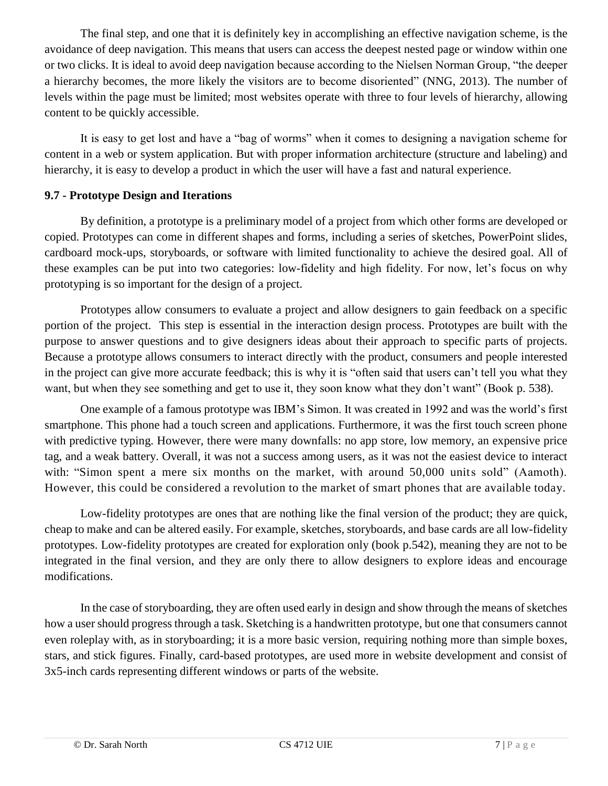The final step, and one that it is definitely key in accomplishing an effective navigation scheme, is the avoidance of deep navigation. This means that users can access the deepest nested page or window within one or two clicks. It is ideal to avoid deep navigation because according to the Nielsen Norman Group, "the deeper a hierarchy becomes, the more likely the visitors are to become disoriented" (NNG, 2013). The number of levels within the page must be limited; most websites operate with three to four levels of hierarchy, allowing content to be quickly accessible.

It is easy to get lost and have a "bag of worms" when it comes to designing a navigation scheme for content in a web or system application. But with proper information architecture (structure and labeling) and hierarchy, it is easy to develop a product in which the user will have a fast and natural experience.

#### **9.7 - Prototype Design and Iterations**

By definition, a prototype is a preliminary model of a project from which other forms are developed or copied. Prototypes can come in different shapes and forms, including a series of sketches, PowerPoint slides, cardboard mock-ups, storyboards, or software with limited functionality to achieve the desired goal. All of these examples can be put into two categories: low-fidelity and high fidelity. For now, let's focus on why prototyping is so important for the design of a project.

Prototypes allow consumers to evaluate a project and allow designers to gain feedback on a specific portion of the project. This step is essential in the interaction design process. Prototypes are built with the purpose to answer questions and to give designers ideas about their approach to specific parts of projects. Because a prototype allows consumers to interact directly with the product, consumers and people interested in the project can give more accurate feedback; this is why it is "often said that users can't tell you what they want, but when they see something and get to use it, they soon know what they don't want" (Book p. 538).

One example of a famous prototype was IBM's Simon. It was created in 1992 and was the world's first smartphone. This phone had a touch screen and applications. Furthermore, it was the first touch screen phone with predictive typing. However, there were many downfalls: no app store, low memory, an expensive price tag, and a weak battery. Overall, it was not a success among users, as it was not the easiest device to interact with: "Simon spent a mere six months on the market, with around 50,000 units sold" (Aamoth). However, this could be considered a revolution to the market of smart phones that are available today.

Low-fidelity prototypes are ones that are nothing like the final version of the product; they are quick, cheap to make and can be altered easily. For example, sketches, storyboards, and base cards are all low-fidelity prototypes. Low-fidelity prototypes are created for exploration only (book p.542), meaning they are not to be integrated in the final version, and they are only there to allow designers to explore ideas and encourage modifications.

In the case of storyboarding, they are often used early in design and show through the means of sketches how a user should progress through a task. Sketching is a handwritten prototype, but one that consumers cannot even roleplay with, as in storyboarding; it is a more basic version, requiring nothing more than simple boxes, stars, and stick figures. Finally, card-based prototypes, are used more in website development and consist of 3x5-inch cards representing different windows or parts of the website.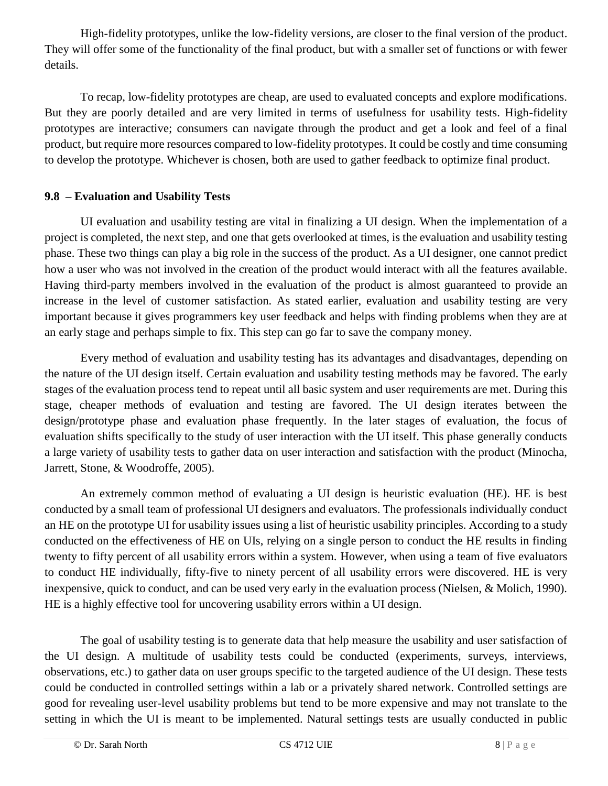High-fidelity prototypes, unlike the low-fidelity versions, are closer to the final version of the product. They will offer some of the functionality of the final product, but with a smaller set of functions or with fewer details.

To recap, low-fidelity prototypes are cheap, are used to evaluated concepts and explore modifications. But they are poorly detailed and are very limited in terms of usefulness for usability tests. High-fidelity prototypes are interactive; consumers can navigate through the product and get a look and feel of a final product, but require more resources compared to low-fidelity prototypes. It could be costly and time consuming to develop the prototype. Whichever is chosen, both are used to gather feedback to optimize final product.

#### **9.8 – Evaluation and Usability Tests**

UI evaluation and usability testing are vital in finalizing a UI design. When the implementation of a project is completed, the next step, and one that gets overlooked at times, is the evaluation and usability testing phase. These two things can play a big role in the success of the product. As a UI designer, one cannot predict how a user who was not involved in the creation of the product would interact with all the features available. Having third-party members involved in the evaluation of the product is almost guaranteed to provide an increase in the level of customer satisfaction. As stated earlier, evaluation and usability testing are very important because it gives programmers key user feedback and helps with finding problems when they are at an early stage and perhaps simple to fix. This step can go far to save the company money.

Every method of evaluation and usability testing has its advantages and disadvantages, depending on the nature of the UI design itself. Certain evaluation and usability testing methods may be favored. The early stages of the evaluation process tend to repeat until all basic system and user requirements are met. During this stage, cheaper methods of evaluation and testing are favored. The UI design iterates between the design/prototype phase and evaluation phase frequently. In the later stages of evaluation, the focus of evaluation shifts specifically to the study of user interaction with the UI itself. This phase generally conducts a large variety of usability tests to gather data on user interaction and satisfaction with the product (Minocha, Jarrett, Stone, & Woodroffe, 2005).

An extremely common method of evaluating a UI design is heuristic evaluation (HE). HE is best conducted by a small team of professional UI designers and evaluators. The professionals individually conduct an HE on the prototype UI for usability issues using a list of heuristic usability principles. According to a study conducted on the effectiveness of HE on UIs, relying on a single person to conduct the HE results in finding twenty to fifty percent of all usability errors within a system. However, when using a team of five evaluators to conduct HE individually, fifty-five to ninety percent of all usability errors were discovered. HE is very inexpensive, quick to conduct, and can be used very early in the evaluation process (Nielsen, & Molich, 1990). HE is a highly effective tool for uncovering usability errors within a UI design.

The goal of usability testing is to generate data that help measure the usability and user satisfaction of the UI design. A multitude of usability tests could be conducted (experiments, surveys, interviews, observations, etc.) to gather data on user groups specific to the targeted audience of the UI design. These tests could be conducted in controlled settings within a lab or a privately shared network. Controlled settings are good for revealing user-level usability problems but tend to be more expensive and may not translate to the setting in which the UI is meant to be implemented. Natural settings tests are usually conducted in public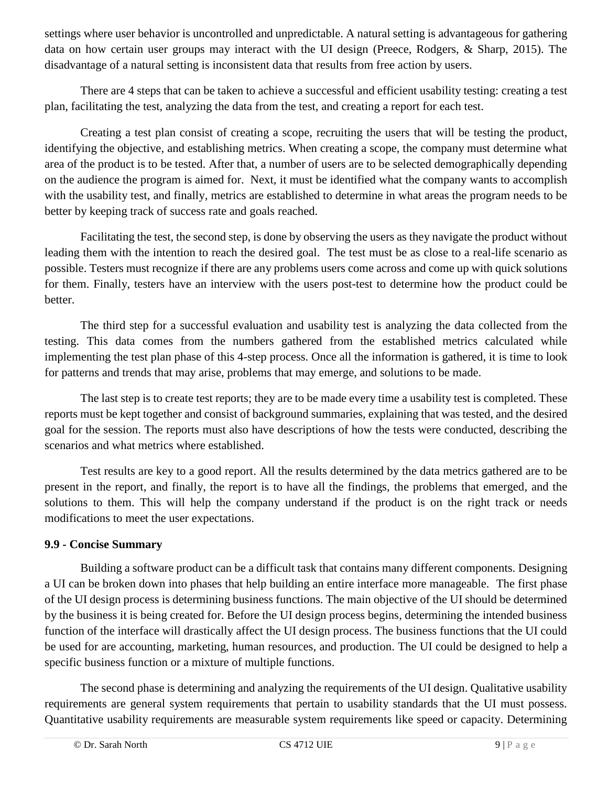settings where user behavior is uncontrolled and unpredictable. A natural setting is advantageous for gathering data on how certain user groups may interact with the UI design (Preece, Rodgers, & Sharp, 2015). The disadvantage of a natural setting is inconsistent data that results from free action by users.

There are 4 steps that can be taken to achieve a successful and efficient usability testing: creating a test plan, facilitating the test, analyzing the data from the test, and creating a report for each test.

Creating a test plan consist of creating a scope, recruiting the users that will be testing the product, identifying the objective, and establishing metrics. When creating a scope, the company must determine what area of the product is to be tested. After that, a number of users are to be selected demographically depending on the audience the program is aimed for. Next, it must be identified what the company wants to accomplish with the usability test, and finally, metrics are established to determine in what areas the program needs to be better by keeping track of success rate and goals reached.

Facilitating the test, the second step, is done by observing the users as they navigate the product without leading them with the intention to reach the desired goal. The test must be as close to a real-life scenario as possible. Testers must recognize if there are any problems users come across and come up with quick solutions for them. Finally, testers have an interview with the users post-test to determine how the product could be better.

The third step for a successful evaluation and usability test is analyzing the data collected from the testing. This data comes from the numbers gathered from the established metrics calculated while implementing the test plan phase of this 4-step process. Once all the information is gathered, it is time to look for patterns and trends that may arise, problems that may emerge, and solutions to be made.

The last step is to create test reports; they are to be made every time a usability test is completed. These reports must be kept together and consist of background summaries, explaining that was tested, and the desired goal for the session. The reports must also have descriptions of how the tests were conducted, describing the scenarios and what metrics where established.

Test results are key to a good report. All the results determined by the data metrics gathered are to be present in the report, and finally, the report is to have all the findings, the problems that emerged, and the solutions to them. This will help the company understand if the product is on the right track or needs modifications to meet the user expectations.

#### **9.9 - Concise Summary**

Building a software product can be a difficult task that contains many different components. Designing a UI can be broken down into phases that help building an entire interface more manageable. The first phase of the UI design process is determining business functions. The main objective of the UI should be determined by the business it is being created for. Before the UI design process begins, determining the intended business function of the interface will drastically affect the UI design process. The business functions that the UI could be used for are accounting, marketing, human resources, and production. The UI could be designed to help a specific business function or a mixture of multiple functions.

The second phase is determining and analyzing the requirements of the UI design. Qualitative usability requirements are general system requirements that pertain to usability standards that the UI must possess. Quantitative usability requirements are measurable system requirements like speed or capacity. Determining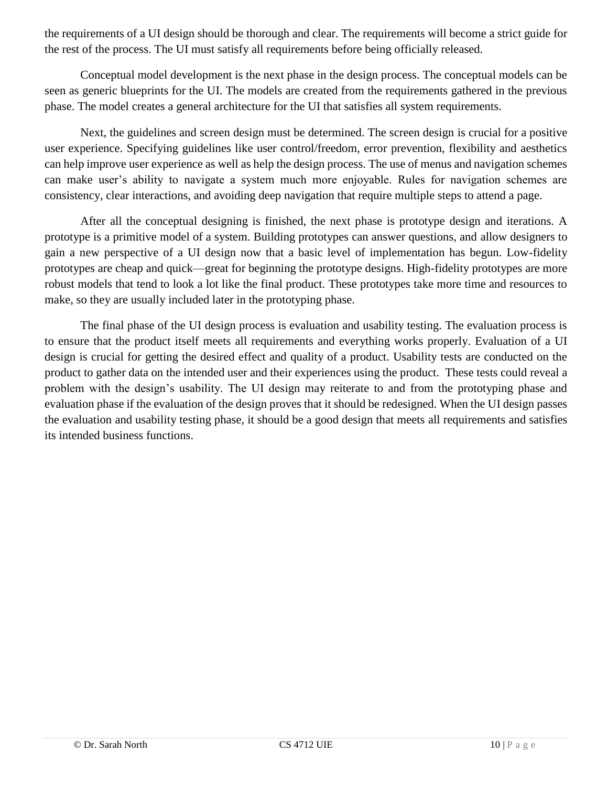the requirements of a UI design should be thorough and clear. The requirements will become a strict guide for the rest of the process. The UI must satisfy all requirements before being officially released.

Conceptual model development is the next phase in the design process. The conceptual models can be seen as generic blueprints for the UI. The models are created from the requirements gathered in the previous phase. The model creates a general architecture for the UI that satisfies all system requirements.

Next, the guidelines and screen design must be determined. The screen design is crucial for a positive user experience. Specifying guidelines like user control/freedom, error prevention, flexibility and aesthetics can help improve user experience as well as help the design process. The use of menus and navigation schemes can make user's ability to navigate a system much more enjoyable. Rules for navigation schemes are consistency, clear interactions, and avoiding deep navigation that require multiple steps to attend a page.

After all the conceptual designing is finished, the next phase is prototype design and iterations. A prototype is a primitive model of a system. Building prototypes can answer questions, and allow designers to gain a new perspective of a UI design now that a basic level of implementation has begun. Low-fidelity prototypes are cheap and quick—great for beginning the prototype designs. High-fidelity prototypes are more robust models that tend to look a lot like the final product. These prototypes take more time and resources to make, so they are usually included later in the prototyping phase.

The final phase of the UI design process is evaluation and usability testing. The evaluation process is to ensure that the product itself meets all requirements and everything works properly. Evaluation of a UI design is crucial for getting the desired effect and quality of a product. Usability tests are conducted on the product to gather data on the intended user and their experiences using the product. These tests could reveal a problem with the design's usability. The UI design may reiterate to and from the prototyping phase and evaluation phase if the evaluation of the design proves that it should be redesigned. When the UI design passes the evaluation and usability testing phase, it should be a good design that meets all requirements and satisfies its intended business functions.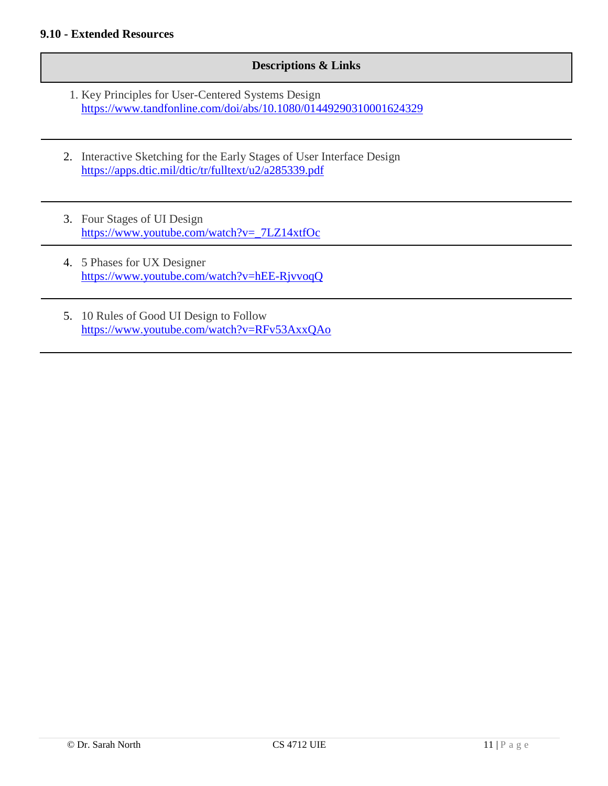#### **Descriptions & Links**

- 1. Key Principles for User-Centered Systems Design <https://www.tandfonline.com/doi/abs/10.1080/01449290310001624329>
- 2. Interactive Sketching for the Early Stages of User Interface Design <https://apps.dtic.mil/dtic/tr/fulltext/u2/a285339.pdf>
- 3. Four Stages of UI Design [https://www.youtube.com/watch?v=\\_7LZ14xtfOc](https://www.youtube.com/watch?v=_7LZ14xtfOc)
- 4. 5 Phases for UX Designer <https://www.youtube.com/watch?v=hEE-RjvvoqQ>
- 5. 10 Rules of Good UI Design to Follow <https://www.youtube.com/watch?v=RFv53AxxQAo>